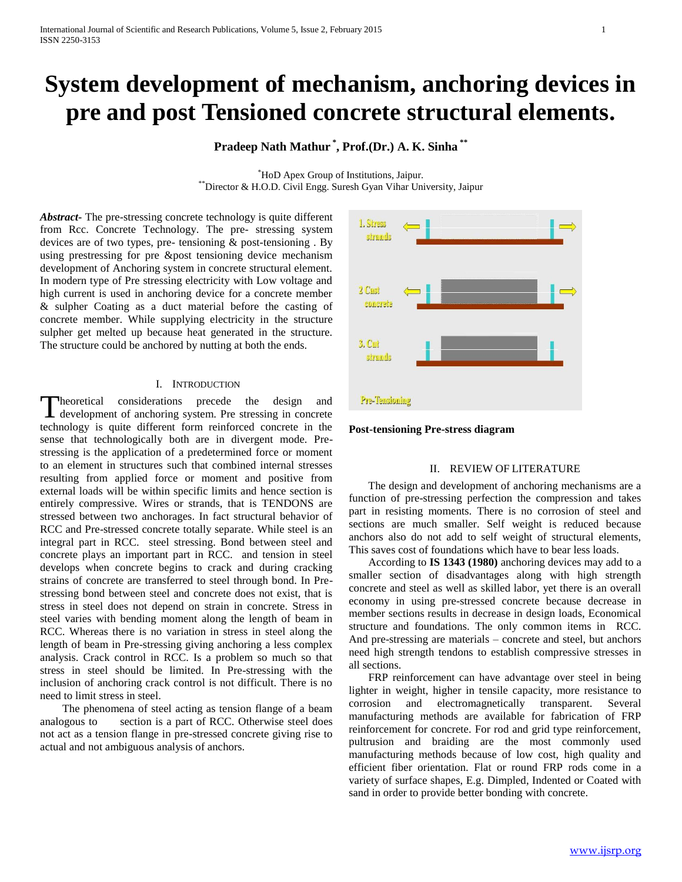# **System development of mechanism, anchoring devices in pre and post Tensioned concrete structural elements.**

**Pradeep Nath Mathur \* , Prof.(Dr.) A. K. Sinha \*\***

\*HoD Apex Group of Institutions, Jaipur. \*\*Director & H.O.D. Civil Engg. Suresh Gyan Vihar University, Jaipur

*Abstract***-** The pre-stressing concrete technology is quite different from Rcc. Concrete Technology. The pre- stressing system devices are of two types, pre- tensioning & post-tensioning . By using prestressing for pre &post tensioning device mechanism development of Anchoring system in concrete structural element. In modern type of Pre stressing electricity with Low voltage and high current is used in anchoring device for a concrete member & sulpher Coating as a duct material before the casting of concrete member. While supplying electricity in the structure sulpher get melted up because heat generated in the structure. The structure could be anchored by nutting at both the ends.

# I. INTRODUCTION

heoretical considerations precede the design and Theoretical considerations precede the design and development of anchoring system. Pre stressing in concrete technology is quite different form reinforced concrete in the sense that technologically both are in divergent mode. Prestressing is the application of a predetermined force or moment to an element in structures such that combined internal stresses resulting from applied force or moment and positive from external loads will be within specific limits and hence section is entirely compressive. Wires or strands, that is TENDONS are stressed between two anchorages. In fact structural behavior of RCC and Pre-stressed concrete totally separate. While steel is an integral part in RCC. steel stressing. Bond between steel and concrete plays an important part in RCC. and tension in steel develops when concrete begins to crack and during cracking strains of concrete are transferred to steel through bond. In Prestressing bond between steel and concrete does not exist, that is stress in steel does not depend on strain in concrete. Stress in steel varies with bending moment along the length of beam in RCC. Whereas there is no variation in stress in steel along the length of beam in Pre-stressing giving anchoring a less complex analysis. Crack control in RCC. Is a problem so much so that stress in steel should be limited. In Pre-stressing with the inclusion of anchoring crack control is not difficult. There is no need to limit stress in steel.

 The phenomena of steel acting as tension flange of a beam analogous to section is a part of RCC. Otherwise steel does not act as a tension flange in pre-stressed concrete giving rise to actual and not ambiguous analysis of anchors.



**Post-tensioning Pre-stress diagram** 

## II. REVIEW OF LITERATURE

 The design and development of anchoring mechanisms are a function of pre-stressing perfection the compression and takes part in resisting moments. There is no corrosion of steel and sections are much smaller. Self weight is reduced because anchors also do not add to self weight of structural elements, This saves cost of foundations which have to bear less loads.

 According to **IS 1343 (1980)** anchoring devices may add to a smaller section of disadvantages along with high strength concrete and steel as well as skilled labor, yet there is an overall economy in using pre-stressed concrete because decrease in member sections results in decrease in design loads, Economical structure and foundations. The only common items in RCC. And pre-stressing are materials – concrete and steel, but anchors need high strength tendons to establish compressive stresses in all sections.

 FRP reinforcement can have advantage over steel in being lighter in weight, higher in tensile capacity, more resistance to corrosion and electromagnetically transparent. Several manufacturing methods are available for fabrication of FRP reinforcement for concrete. For rod and grid type reinforcement, pultrusion and braiding are the most commonly used manufacturing methods because of low cost, high quality and efficient fiber orientation. Flat or round FRP rods come in a variety of surface shapes, E.g. Dimpled, Indented or Coated with sand in order to provide better bonding with concrete.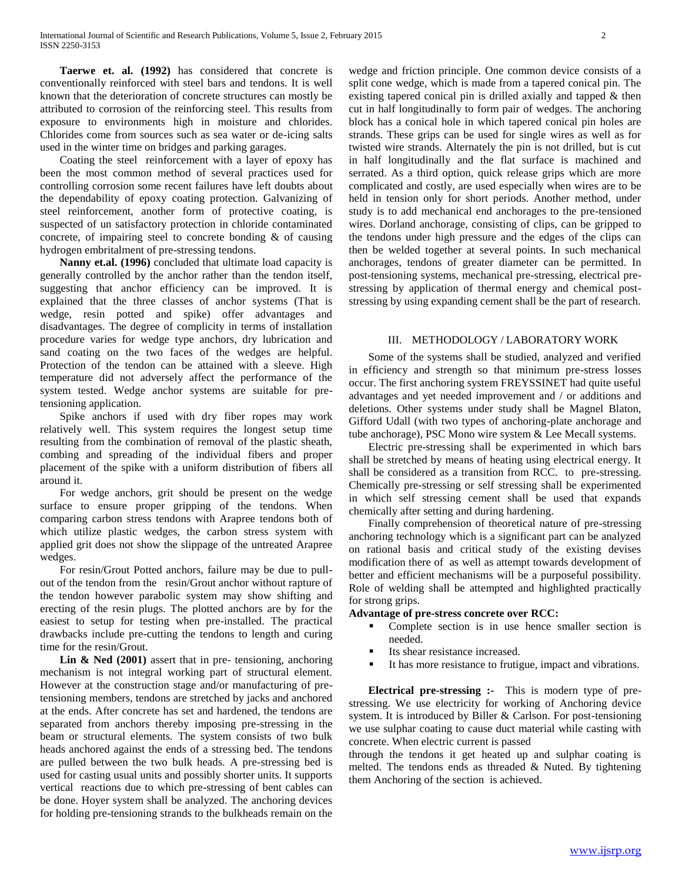**Taerwe et. al. (1992)** has considered that concrete is conventionally reinforced with steel bars and tendons. It is well known that the deterioration of concrete structures can mostly be attributed to corrosion of the reinforcing steel. This results from exposure to environments high in moisture and chlorides. Chlorides come from sources such as sea water or de-icing salts used in the winter time on bridges and parking garages.

 Coating the steel reinforcement with a layer of epoxy has been the most common method of several practices used for controlling corrosion some recent failures have left doubts about the dependability of epoxy coating protection. Galvanizing of steel reinforcement, another form of protective coating, is suspected of un satisfactory protection in chloride contaminated concrete, of impairing steel to concrete bonding & of causing hydrogen embritalment of pre-stressing tendons.

 **Nanny et.al. (1996)** concluded that ultimate load capacity is generally controlled by the anchor rather than the tendon itself, suggesting that anchor efficiency can be improved. It is explained that the three classes of anchor systems (That is wedge, resin potted and spike) offer advantages and disadvantages. The degree of complicity in terms of installation procedure varies for wedge type anchors, dry lubrication and sand coating on the two faces of the wedges are helpful. Protection of the tendon can be attained with a sleeve. High temperature did not adversely affect the performance of the system tested. Wedge anchor systems are suitable for pretensioning application.

 Spike anchors if used with dry fiber ropes may work relatively well. This system requires the longest setup time resulting from the combination of removal of the plastic sheath, combing and spreading of the individual fibers and proper placement of the spike with a uniform distribution of fibers all around it.

 For wedge anchors, grit should be present on the wedge surface to ensure proper gripping of the tendons. When comparing carbon stress tendons with Arapree tendons both of which utilize plastic wedges, the carbon stress system with applied grit does not show the slippage of the untreated Arapree wedges.

 For resin/Grout Potted anchors, failure may be due to pullout of the tendon from the resin/Grout anchor without rapture of the tendon however parabolic system may show shifting and erecting of the resin plugs. The plotted anchors are by for the easiest to setup for testing when pre-installed. The practical drawbacks include pre-cutting the tendons to length and curing time for the resin/Grout.

 **Lin & Ned (2001)** assert that in pre- tensioning, anchoring mechanism is not integral working part of structural element. However at the construction stage and/or manufacturing of pretensioning members, tendons are stretched by jacks and anchored at the ends. After concrete has set and hardened, the tendons are separated from anchors thereby imposing pre-stressing in the beam or structural elements. The system consists of two bulk heads anchored against the ends of a stressing bed. The tendons are pulled between the two bulk heads. A pre-stressing bed is used for casting usual units and possibly shorter units. It supports vertical reactions due to which pre-stressing of bent cables can be done. Hoyer system shall be analyzed. The anchoring devices for holding pre-tensioning strands to the bulkheads remain on the

wedge and friction principle. One common device consists of a split cone wedge, which is made from a tapered conical pin. The existing tapered conical pin is drilled axially and tapped & then cut in half longitudinally to form pair of wedges. The anchoring block has a conical hole in which tapered conical pin holes are strands. These grips can be used for single wires as well as for twisted wire strands. Alternately the pin is not drilled, but is cut in half longitudinally and the flat surface is machined and serrated. As a third option, quick release grips which are more complicated and costly, are used especially when wires are to be held in tension only for short periods. Another method, under study is to add mechanical end anchorages to the pre-tensioned wires. Dorland anchorage, consisting of clips, can be gripped to the tendons under high pressure and the edges of the clips can then be welded together at several points. In such mechanical anchorages, tendons of greater diameter can be permitted. In post-tensioning systems, mechanical pre-stressing, electrical prestressing by application of thermal energy and chemical poststressing by using expanding cement shall be the part of research.

## III. METHODOLOGY / LABORATORY WORK

 Some of the systems shall be studied, analyzed and verified in efficiency and strength so that minimum pre-stress losses occur. The first anchoring system FREYSSINET had quite useful advantages and yet needed improvement and / or additions and deletions. Other systems under study shall be Magnel Blaton, Gifford Udall (with two types of anchoring-plate anchorage and tube anchorage), PSC Mono wire system & Lee Mecall systems.

 Electric pre-stressing shall be experimented in which bars shall be stretched by means of heating using electrical energy. It shall be considered as a transition from RCC. to pre-stressing. Chemically pre-stressing or self stressing shall be experimented in which self stressing cement shall be used that expands chemically after setting and during hardening.

 Finally comprehension of theoretical nature of pre-stressing anchoring technology which is a significant part can be analyzed on rational basis and critical study of the existing devises modification there of as well as attempt towards development of better and efficient mechanisms will be a purposeful possibility. Role of welding shall be attempted and highlighted practically for strong grips.

## **Advantage of pre-stress concrete over RCC:**

- Complete section is in use hence smaller section is needed.
- Its shear resistance increased.
- It has more resistance to frutigue, impact and vibrations.

 **Electrical pre-stressing :-** This is modern type of prestressing. We use electricity for working of Anchoring device system. It is introduced by Biller & Carlson. For post-tensioning we use sulphar coating to cause duct material while casting with concrete. When electric current is passed

through the tendons it get heated up and sulphar coating is melted. The tendons ends as threaded & Nuted. By tightening them Anchoring of the section is achieved.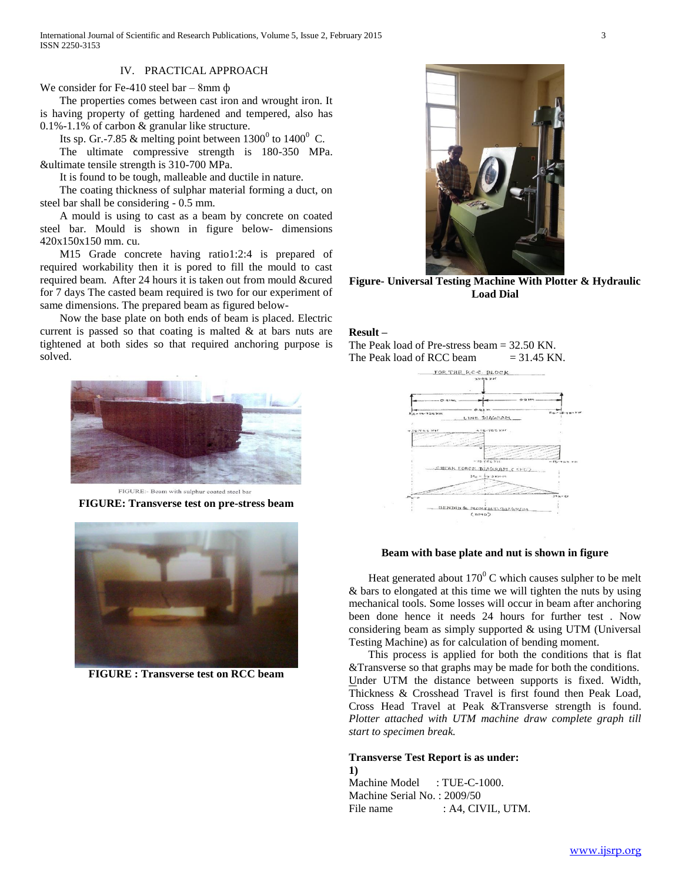# IV. PRACTICAL APPROACH

We consider for Fe-410 steel bar – 8mm ф

 The properties comes between cast iron and wrought iron. It is having property of getting hardened and tempered, also has 0.1%-1.1% of carbon & granular like structure.

Its sp. Gr.-7.85 & melting point between  $1300^{\circ}$  to  $1400^{\circ}$  C.

 The ultimate compressive strength is 180-350 MPa. &ultimate tensile strength is 310-700 MPa.

It is found to be tough, malleable and ductile in nature.

 The coating thickness of sulphar material forming a duct, on steel bar shall be considering - 0.5 mm.

 A mould is using to cast as a beam by concrete on coated steel bar. Mould is shown in figure below- dimensions 420x150x150 mm. cu.

 M15 Grade concrete having ratio1:2:4 is prepared of required workability then it is pored to fill the mould to cast required beam. After 24 hours it is taken out from mould &cured for 7 days The casted beam required is two for our experiment of same dimensions. The prepared beam as figured below-

 Now the base plate on both ends of beam is placed. Electric current is passed so that coating is malted  $\&$  at bars nuts are tightened at both sides so that required anchoring purpose is solved.



**FIGURE: Transverse test on pre-stress beam**



**FIGURE : Transverse test on RCC beam**



**Figure- Universal Testing Machine With Plotter & Hydraulic Load Dial**

# **Result –**

The Peak load of Pre-stress beam = 32.50 KN. The Peak load of RCC beam  $= 31.45$  KN.



#### **Beam with base plate and nut is shown in figure**

Heat generated about  $170^{\circ}$  C which causes sulpher to be melt & bars to elongated at this time we will tighten the nuts by using mechanical tools. Some losses will occur in beam after anchoring been done hence it needs 24 hours for further test . Now considering beam as simply supported & using UTM (Universal Testing Machine) as for calculation of bending moment.

 This process is applied for both the conditions that is flat &Transverse so that graphs may be made for both the conditions. Under UTM the distance between supports is fixed. Width, Thickness & Crosshead Travel is first found then Peak Load, Cross Head Travel at Peak &Transverse strength is found. *Plotter attached with UTM machine draw complete graph till start to specimen break.* 

### **Transverse Test Report is as under:**

**1)** Machine Model : TUE-C-1000. Machine Serial No. : 2009/50 File name : A4, CIVIL, UTM.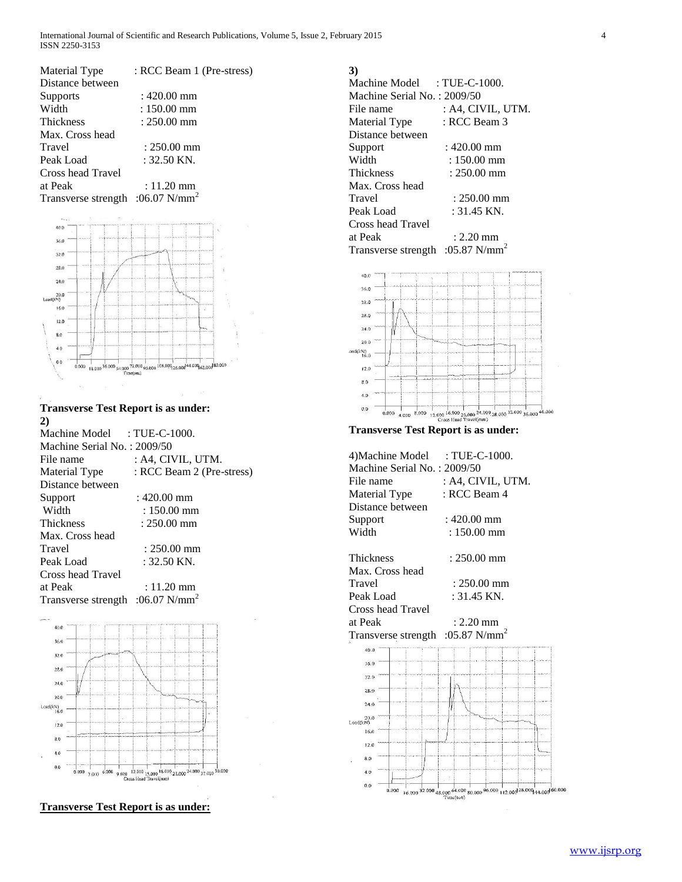| Material Type                       | : RCC Beam 1 (Pre-stress) |
|-------------------------------------|---------------------------|
| Distance between                    |                           |
| <b>Supports</b>                     | : 420.00 mm               |
| Width                               | $: 150.00$ mm             |
| <b>Thickness</b>                    | $: 250.00$ mm             |
| Max. Cross head                     |                           |
| Travel                              | $: 250.00$ mm             |
| Peak Load                           | $: 32.50$ KN.             |
| Cross head Travel                   |                           |
| at Peak                             | $: 11.20$ mm              |
| Transverse strength :06.07 $N/mm^2$ |                           |



**Transverse Test Report is as under: 2)** Machine Model : TUE-C-1000. Machine Serial No. : 2009/50 File name : A4, CIVIL, UTM. Material Type : RCC Beam 2 (Pre-stress)

| Distance between  |                                                                                                                                                                                                                                                                                                                                                                                                                              |
|-------------------|------------------------------------------------------------------------------------------------------------------------------------------------------------------------------------------------------------------------------------------------------------------------------------------------------------------------------------------------------------------------------------------------------------------------------|
| Support           | $:420.00$ mm                                                                                                                                                                                                                                                                                                                                                                                                                 |
| Width             | $: 150.00$ mm                                                                                                                                                                                                                                                                                                                                                                                                                |
| Thickness         | $: 250.00$ mm                                                                                                                                                                                                                                                                                                                                                                                                                |
| Max. Cross head   |                                                                                                                                                                                                                                                                                                                                                                                                                              |
| Travel            | $: 250.00$ mm                                                                                                                                                                                                                                                                                                                                                                                                                |
| Peak Load         | $: 32.50$ KN.                                                                                                                                                                                                                                                                                                                                                                                                                |
| Cross head Travel |                                                                                                                                                                                                                                                                                                                                                                                                                              |
| at Peak           | $: 11.20$ mm                                                                                                                                                                                                                                                                                                                                                                                                                 |
| $\mathbf{r}$      | $\mathbf{A} = \mathbf{A} + \mathbf{A} + \mathbf{A} + \mathbf{A} + \mathbf{A} + \mathbf{A} + \mathbf{A} + \mathbf{A} + \mathbf{A} + \mathbf{A} + \mathbf{A} + \mathbf{A} + \mathbf{A} + \mathbf{A} + \mathbf{A} + \mathbf{A} + \mathbf{A} + \mathbf{A} + \mathbf{A} + \mathbf{A} + \mathbf{A} + \mathbf{A} + \mathbf{A} + \mathbf{A} + \mathbf{A} + \mathbf{A} + \mathbf{A} + \mathbf{A} + \mathbf{A} + \mathbf{A} + \mathbf$ |

Transverse strength :06.07 N/mm<sup>2</sup>



**Transverse Test Report is as under:**

Machine Model : TUE-C-1000.

**3)**

| Machine Serial No.: 2009/50                  |                   |
|----------------------------------------------|-------------------|
| File name                                    | : A4, CIVIL, UTM. |
| Material Type                                | : RCC Beam 3      |
| Distance between                             |                   |
| Support                                      | $: 420.00$ mm     |
| Width                                        | : 150.00 mm       |
| Thickness                                    | $: 250.00$ mm     |
| Max. Cross head                              |                   |
| Travel                                       | : 250.00 mm       |
| Peak Load                                    | $: 31.45$ KN.     |
| Cross head Travel                            |                   |
| at Peak                                      | $: 2.20$ mm       |
| Transverse strength :05.87 N/mm <sup>2</sup> |                   |
|                                              |                   |



| 4) Machine Model : TUE-C-1000. |                   |
|--------------------------------|-------------------|
| Machine Serial No.: 2009/50    |                   |
| File name                      | : A4, CIVIL, UTM. |
| Material Type                  | : RCC Beam 4      |
| Distance between               |                   |
| Support                        | : 420.00 mm       |
| Width                          | $: 150.00$ mm     |
|                                |                   |
| <b>Thickness</b>               | : 250.00 mm       |
| Max. Cross head                |                   |
| Travel                         | $: 250.00$ mm     |
| Peak Load                      | $: 31.45$ KN.     |
| Cross head Travel              |                   |
| at Peak                        | $: 2.20$ mm       |
| Transverse strength            | :05.87 $N/mm^2$   |
| 40.0                           |                   |
| 36.0                           |                   |
| 32.0                           |                   |
| 28.0                           |                   |
| 24.0                           |                   |
|                                |                   |
| $^{20.0}_{\textrm{Load(kN)}}$  |                   |
| 16.0                           |                   |
|                                |                   |
| 12.0                           |                   |
| 8.0                            |                   |
| 4.0                            |                   |